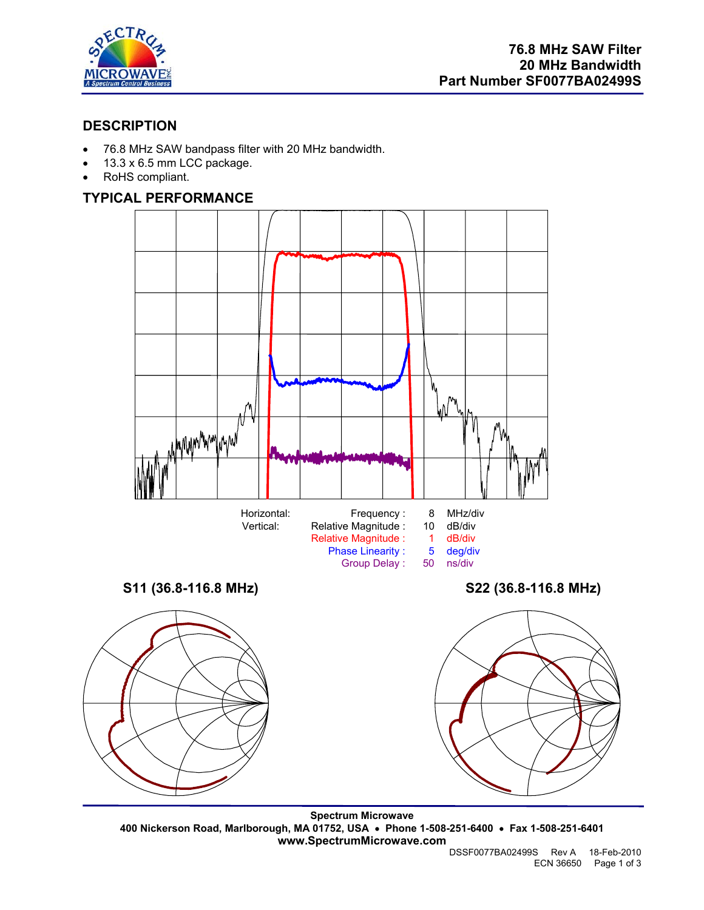

## **DESCRIPTION**

- 76.8 MHz SAW bandpass filter with 20 MHz bandwidth.
- 13.3 x 6.5 mm LCC package.
- RoHS compliant.

# **TYPICAL PERFORMANCE**



**Spectrum Microwave 400 Nickerson Road, Marlborough, MA 01752, USA** • **Phone 1-508-251-6400** • **Fax 1-508-251-6401 www.SpectrumMicrowave.com**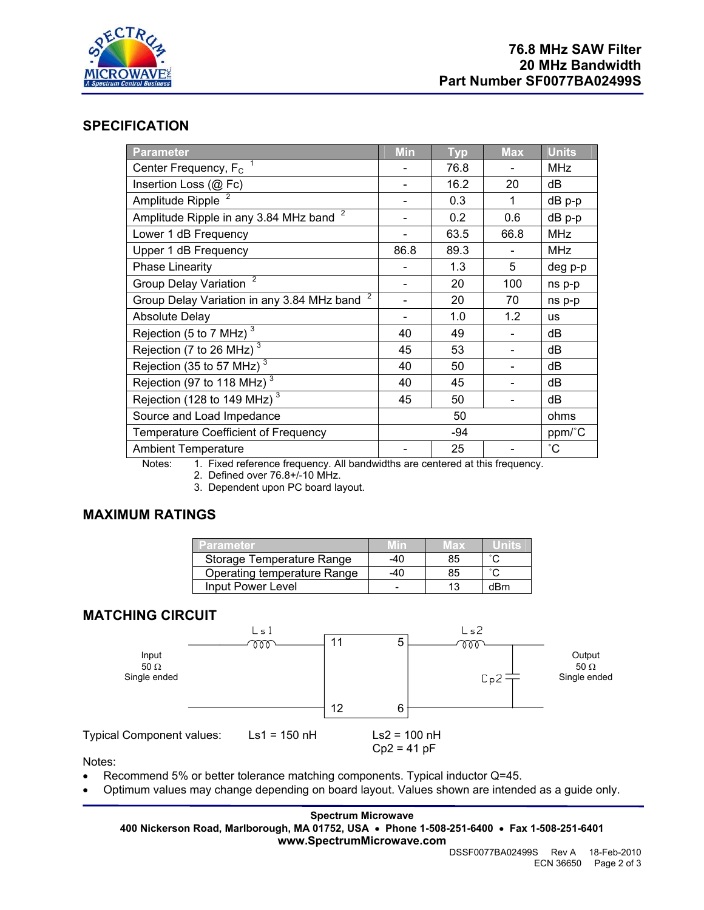

#### **SPECIFICATION**

| <b>Parameter</b>                                                                                               | <b>Min</b> | <b>Typ</b> | <b>Max</b> | <b>Units</b>    |
|----------------------------------------------------------------------------------------------------------------|------------|------------|------------|-----------------|
| Center Frequency, $F_c$                                                                                        |            | 76.8       |            | <b>MHz</b>      |
| Insertion Loss (@ Fc)                                                                                          |            | 16.2       | 20         | dB              |
| Amplitude Ripple                                                                                               |            | 0.3        | 1          | dB p-p          |
| Amplitude Ripple in any 3.84 MHz band $2\overline{ }$                                                          |            | 0.2        | 0.6        | dB p-p          |
| Lower 1 dB Frequency                                                                                           |            | 63.5       | 66.8       | <b>MHz</b>      |
| Upper 1 dB Frequency                                                                                           | 86.8       | 89.3       |            | <b>MHz</b>      |
| <b>Phase Linearity</b>                                                                                         |            | 1.3        | 5          | deg p-p         |
| <b>Group Delay Variation</b>                                                                                   |            | 20         | 100        | ns p-p          |
| Group Delay Variation in any 3.84 MHz band <sup>2</sup>                                                        |            | 20         | 70         | ns p-p          |
| <b>Absolute Delay</b>                                                                                          |            | 1.0        | 1.2        | <b>us</b>       |
| Rejection (5 to 7 MHz) $^3$                                                                                    | 40         | 49         |            | dB              |
| Rejection (7 to 26 MHz) $3\overline{3}$                                                                        | 45         | 53         |            | dB              |
| Rejection (35 to 57 MHz)                                                                                       | 40         | 50         |            | dB              |
| Rejection (97 to 118 MHz) $3$                                                                                  | 40         | 45         |            | dB              |
| Rejection (128 to 149 MHz) $3$                                                                                 | 45         | 50         |            | dB              |
| Source and Load Impedance                                                                                      |            | 50         |            | ohms            |
| <b>Temperature Coefficient of Frequency</b>                                                                    | -94        |            |            | ppm/°C          |
| <b>Ambient Temperature</b><br>Notes: 4 Fixed reference froguency All bondwidths are contered of this froguency |            | 25         |            | $\rm ^{\circ}C$ |

Notes: 1. Fixed reference frequency. All bandwidths are centered at this frequency.

- 2. Defined over 76.8+/-10 MHz.
- 3. Dependent upon PC board layout.

## **MAXIMUM RATINGS**

| Parameter                   | חוו | MAX |     |
|-----------------------------|-----|-----|-----|
| Storage Temperature Range   | -40 | 85  |     |
| Operating temperature Range | -40 | 85  |     |
| Input Power Level           |     |     | dBm |

### **MATCHING CIRCUIT**



Notes:

- Recommend 5% or better tolerance matching components. Typical inductor Q=45.
- Optimum values may change depending on board layout. Values shown are intended as a guide only.

**Spectrum Microwave 400 Nickerson Road, Marlborough, MA 01752, USA** • **Phone 1-508-251-6400** • **Fax 1-508-251-6401 www.SpectrumMicrowave.com**